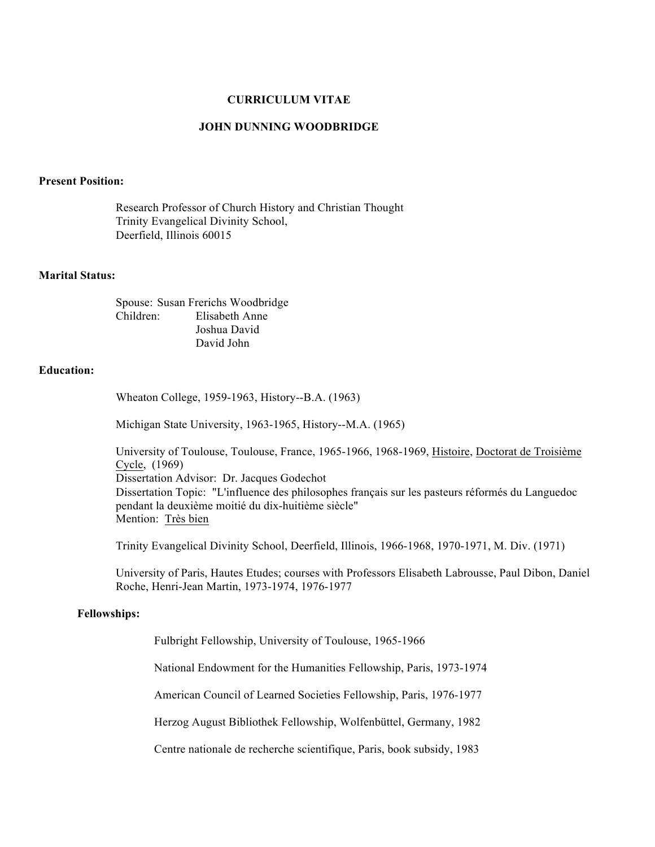## **CURRICULUM VITAE**

## **JOHN DUNNING WOODBRIDGE**

### **Present Position:**

Research Professor of Church History and Christian Thought Trinity Evangelical Divinity School, Deerfield, Illinois 60015

### **Marital Status:**

Spouse: Susan Frerichs Woodbridge Children: Elisabeth Anne Joshua David David John

# **Education:**

Wheaton College, 1959-1963, History--B.A. (1963)

Michigan State University, 1963-1965, History--M.A. (1965)

University of Toulouse, Toulouse, France, 1965-1966, 1968-1969, Histoire, Doctorat de Troisième Cycle, (1969) Dissertation Advisor: Dr. Jacques Godechot Dissertation Topic: "L'influence des philosophes français sur les pasteurs réformés du Languedoc pendant la deuxième moitié du dix-huitième siècle" Mention: Très bien

Trinity Evangelical Divinity School, Deerfield, Illinois, 1966-1968, 1970-1971, M. Div. (1971)

University of Paris, Hautes Etudes; courses with Professors Elisabeth Labrousse, Paul Dibon, Daniel Roche, Henri-Jean Martin, 1973-1974, 1976-1977

## **Fellowships:**

Fulbright Fellowship, University of Toulouse, 1965-1966

National Endowment for the Humanities Fellowship, Paris, 1973-1974

American Council of Learned Societies Fellowship, Paris, 1976-1977

Herzog August Bibliothek Fellowship, Wolfenbüttel, Germany, 1982

Centre nationale de recherche scientifique, Paris, book subsidy, 1983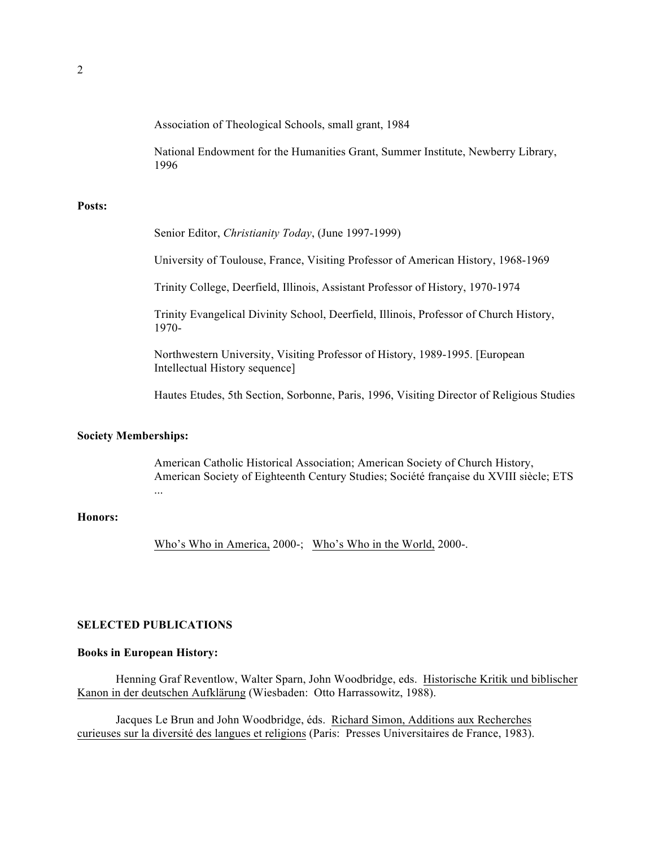Association of Theological Schools, small grant, 1984

National Endowment for the Humanities Grant, Summer Institute, Newberry Library, 1996

### **Posts:**

Senior Editor, *Christianity Today*, (June 1997-1999)

University of Toulouse, France, Visiting Professor of American History, 1968-1969

Trinity College, Deerfield, Illinois, Assistant Professor of History, 1970-1974

Trinity Evangelical Divinity School, Deerfield, Illinois, Professor of Church History, 1970-

Northwestern University, Visiting Professor of History, 1989-1995. [European Intellectual History sequence]

Hautes Etudes, 5th Section, Sorbonne, Paris, 1996, Visiting Director of Religious Studies

## **Society Memberships:**

American Catholic Historical Association; American Society of Church History, American Society of Eighteenth Century Studies; Société française du XVIII siècle; ETS

## **Honors:**

Who's Who in America, 2000-; Who's Who in the World, 2000-.

## **SELECTED PUBLICATIONS**

...

#### **Books in European History:**

Henning Graf Reventlow, Walter Sparn, John Woodbridge, eds. Historische Kritik und biblischer Kanon in der deutschen Aufklärung (Wiesbaden: Otto Harrassowitz, 1988).

Jacques Le Brun and John Woodbridge, éds. Richard Simon, Additions aux Recherches curieuses sur la diversité des langues et religions (Paris: Presses Universitaires de France, 1983).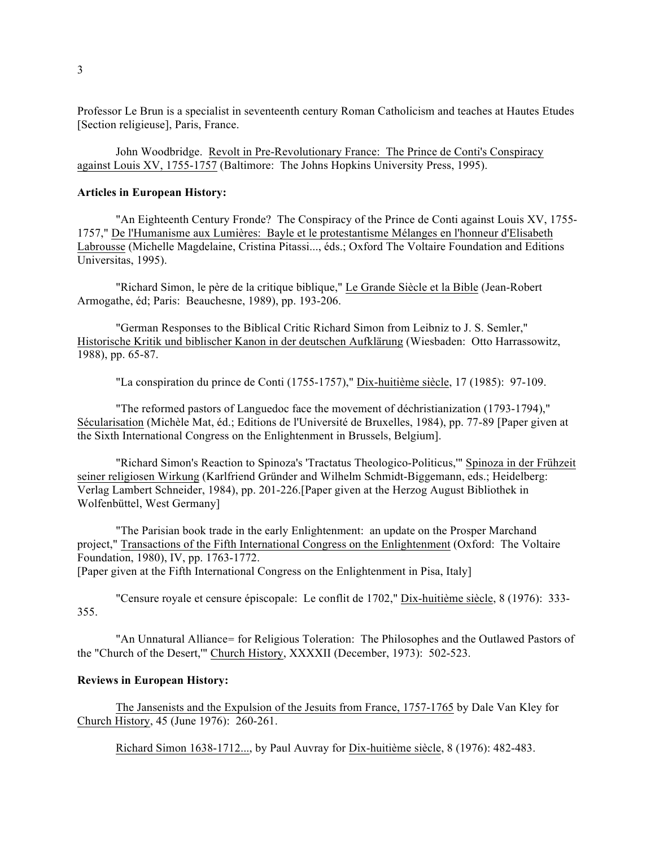Professor Le Brun is a specialist in seventeenth century Roman Catholicism and teaches at Hautes Etudes [Section religieuse], Paris, France.

John Woodbridge. Revolt in Pre-Revolutionary France: The Prince de Conti's Conspiracy against Louis XV, 1755-1757 (Baltimore: The Johns Hopkins University Press, 1995).

### **Articles in European History:**

"An Eighteenth Century Fronde? The Conspiracy of the Prince de Conti against Louis XV, 1755- 1757," De l'Humanisme aux Lumières: Bayle et le protestantisme Mélanges en l'honneur d'Elisabeth Labrousse (Michelle Magdelaine, Cristina Pitassi..., éds.; Oxford The Voltaire Foundation and Editions Universitas, 1995).

"Richard Simon, le père de la critique biblique," Le Grande Siècle et la Bible (Jean-Robert Armogathe, éd; Paris: Beauchesne, 1989), pp. 193-206.

"German Responses to the Biblical Critic Richard Simon from Leibniz to J. S. Semler," Historische Kritik und biblischer Kanon in der deutschen Aufklärung (Wiesbaden: Otto Harrassowitz, 1988), pp. 65-87.

"La conspiration du prince de Conti (1755-1757)," Dix-huitième siècle, 17 (1985): 97-109.

"The reformed pastors of Languedoc face the movement of déchristianization (1793-1794)," Sécularisation (Michèle Mat, éd.; Editions de l'Université de Bruxelles, 1984), pp. 77-89 [Paper given at the Sixth International Congress on the Enlightenment in Brussels, Belgium].

"Richard Simon's Reaction to Spinoza's 'Tractatus Theologico-Politicus,'" Spinoza in der Frühzeit seiner religiosen Wirkung (Karlfriend Gründer and Wilhelm Schmidt-Biggemann, eds.; Heidelberg: Verlag Lambert Schneider, 1984), pp. 201-226.[Paper given at the Herzog August Bibliothek in Wolfenbüttel, West Germany]

"The Parisian book trade in the early Enlightenment: an update on the Prosper Marchand project," Transactions of the Fifth International Congress on the Enlightenment (Oxford: The Voltaire Foundation, 1980), IV, pp. 1763-1772.

[Paper given at the Fifth International Congress on the Enlightenment in Pisa, Italy]

"Censure royale et censure épiscopale: Le conflit de 1702," Dix-huitième siècle, 8 (1976): 333- 355.

"An Unnatural Alliance= for Religious Toleration: The Philosophes and the Outlawed Pastors of the "Church of the Desert,'" Church History, XXXXII (December, 1973): 502-523.

### **Reviews in European History:**

The Jansenists and the Expulsion of the Jesuits from France, 1757-1765 by Dale Van Kley for Church History, 45 (June 1976): 260-261.

Richard Simon 1638-1712..., by Paul Auvray for Dix-huitième siècle, 8 (1976): 482-483.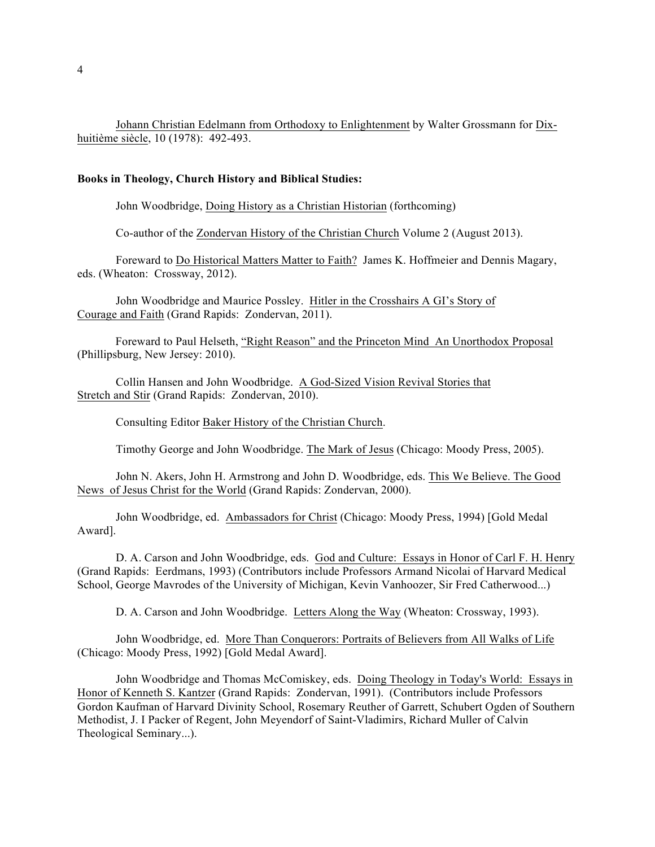Johann Christian Edelmann from Orthodoxy to Enlightenment by Walter Grossmann for Dixhuitième siècle, 10 (1978): 492-493.

### **Books in Theology, Church History and Biblical Studies:**

John Woodbridge, Doing History as a Christian Historian (forthcoming)

Co-author of the Zondervan History of the Christian Church Volume 2 (August 2013).

Foreward to Do Historical Matters Matter to Faith? James K. Hoffmeier and Dennis Magary, eds. (Wheaton: Crossway, 2012).

John Woodbridge and Maurice Possley. Hitler in the Crosshairs A GI's Story of Courage and Faith (Grand Rapids: Zondervan, 2011).

 Foreward to Paul Helseth, "Right Reason" and the Princeton Mind An Unorthodox Proposal (Phillipsburg, New Jersey: 2010).

Collin Hansen and John Woodbridge. A God-Sized Vision Revival Stories that Stretch and Stir (Grand Rapids: Zondervan, 2010).

Consulting Editor Baker History of the Christian Church.

Timothy George and John Woodbridge. The Mark of Jesus (Chicago: Moody Press, 2005).

John N. Akers, John H. Armstrong and John D. Woodbridge, eds. This We Believe. The Good News of Jesus Christ for the World (Grand Rapids: Zondervan, 2000).

John Woodbridge, ed. Ambassadors for Christ (Chicago: Moody Press, 1994) [Gold Medal Award].

D. A. Carson and John Woodbridge, eds. God and Culture: Essays in Honor of Carl F. H. Henry (Grand Rapids: Eerdmans, 1993) (Contributors include Professors Armand Nicolai of Harvard Medical School, George Mavrodes of the University of Michigan, Kevin Vanhoozer, Sir Fred Catherwood...)

D. A. Carson and John Woodbridge. Letters Along the Way (Wheaton: Crossway, 1993).

John Woodbridge, ed. More Than Conquerors: Portraits of Believers from All Walks of Life (Chicago: Moody Press, 1992) [Gold Medal Award].

John Woodbridge and Thomas McComiskey, eds. Doing Theology in Today's World: Essays in Honor of Kenneth S. Kantzer (Grand Rapids: Zondervan, 1991). (Contributors include Professors Gordon Kaufman of Harvard Divinity School, Rosemary Reuther of Garrett, Schubert Ogden of Southern Methodist, J. I Packer of Regent, John Meyendorf of Saint-Vladimirs, Richard Muller of Calvin Theological Seminary...).